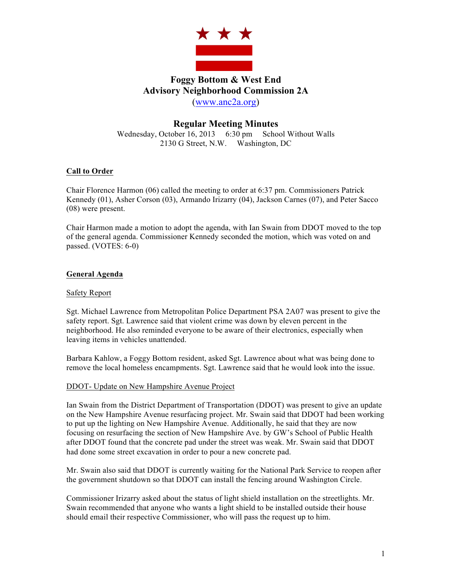

# **Foggy Bottom & West End Advisory Neighborhood Commission 2A** (www.anc2a.org)

## **Regular Meeting Minutes**

Wednesday, October 16, 2013 6:30 pm School Without Walls 2130 G Street, N.W. Washington, DC

## **Call to Order**

Chair Florence Harmon (06) called the meeting to order at 6:37 pm. Commissioners Patrick Kennedy (01), Asher Corson (03), Armando Irizarry (04), Jackson Carnes (07), and Peter Sacco (08) were present.

Chair Harmon made a motion to adopt the agenda, with Ian Swain from DDOT moved to the top of the general agenda. Commissioner Kennedy seconded the motion, which was voted on and passed. (VOTES: 6-0)

## **General Agenda**

## Safety Report

Sgt. Michael Lawrence from Metropolitan Police Department PSA 2A07 was present to give the safety report. Sgt. Lawrence said that violent crime was down by eleven percent in the neighborhood. He also reminded everyone to be aware of their electronics, especially when leaving items in vehicles unattended.

Barbara Kahlow, a Foggy Bottom resident, asked Sgt. Lawrence about what was being done to remove the local homeless encampments. Sgt. Lawrence said that he would look into the issue.

## DDOT- Update on New Hampshire Avenue Project

Ian Swain from the District Department of Transportation (DDOT) was present to give an update on the New Hampshire Avenue resurfacing project. Mr. Swain said that DDOT had been working to put up the lighting on New Hampshire Avenue. Additionally, he said that they are now focusing on resurfacing the section of New Hampshire Ave. by GW's School of Public Health after DDOT found that the concrete pad under the street was weak. Mr. Swain said that DDOT had done some street excavation in order to pour a new concrete pad.

Mr. Swain also said that DDOT is currently waiting for the National Park Service to reopen after the government shutdown so that DDOT can install the fencing around Washington Circle.

Commissioner Irizarry asked about the status of light shield installation on the streetlights. Mr. Swain recommended that anyone who wants a light shield to be installed outside their house should email their respective Commissioner, who will pass the request up to him.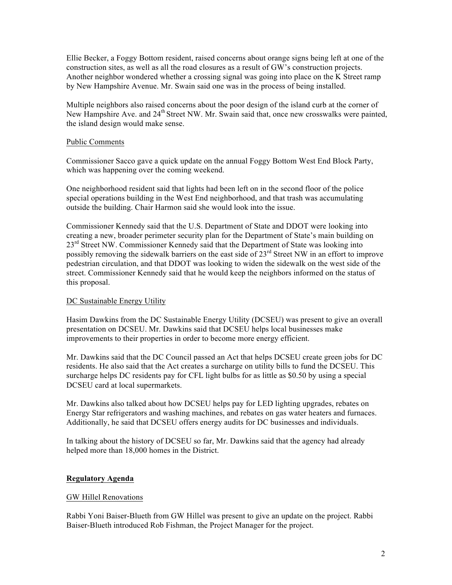Ellie Becker, a Foggy Bottom resident, raised concerns about orange signs being left at one of the construction sites, as well as all the road closures as a result of GW's construction projects. Another neighbor wondered whether a crossing signal was going into place on the K Street ramp by New Hampshire Avenue. Mr. Swain said one was in the process of being installed.

Multiple neighbors also raised concerns about the poor design of the island curb at the corner of New Hampshire Ave. and 24<sup>th</sup> Street NW. Mr. Swain said that, once new crosswalks were painted, the island design would make sense.

## Public Comments

Commissioner Sacco gave a quick update on the annual Foggy Bottom West End Block Party, which was happening over the coming weekend.

One neighborhood resident said that lights had been left on in the second floor of the police special operations building in the West End neighborhood, and that trash was accumulating outside the building. Chair Harmon said she would look into the issue.

Commissioner Kennedy said that the U.S. Department of State and DDOT were looking into creating a new, broader perimeter security plan for the Department of State's main building on 23<sup>rd</sup> Street NW. Commissioner Kennedy said that the Department of State was looking into possibly removing the sidewalk barriers on the east side of 23<sup>rd</sup> Street NW in an effort to improve pedestrian circulation, and that DDOT was looking to widen the sidewalk on the west side of the street. Commissioner Kennedy said that he would keep the neighbors informed on the status of this proposal.

## DC Sustainable Energy Utility

Hasim Dawkins from the DC Sustainable Energy Utility (DCSEU) was present to give an overall presentation on DCSEU. Mr. Dawkins said that DCSEU helps local businesses make improvements to their properties in order to become more energy efficient.

Mr. Dawkins said that the DC Council passed an Act that helps DCSEU create green jobs for DC residents. He also said that the Act creates a surcharge on utility bills to fund the DCSEU. This surcharge helps DC residents pay for CFL light bulbs for as little as \$0.50 by using a special DCSEU card at local supermarkets.

Mr. Dawkins also talked about how DCSEU helps pay for LED lighting upgrades, rebates on Energy Star refrigerators and washing machines, and rebates on gas water heaters and furnaces. Additionally, he said that DCSEU offers energy audits for DC businesses and individuals.

In talking about the history of DCSEU so far, Mr. Dawkins said that the agency had already helped more than 18,000 homes in the District.

## **Regulatory Agenda**

## GW Hillel Renovations

Rabbi Yoni Baiser-Blueth from GW Hillel was present to give an update on the project. Rabbi Baiser-Blueth introduced Rob Fishman, the Project Manager for the project.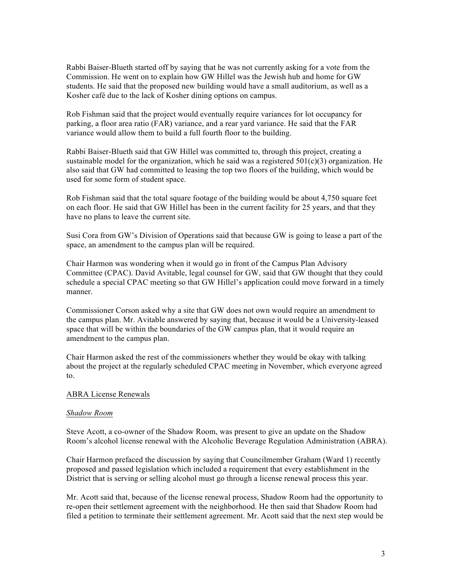Rabbi Baiser-Blueth started off by saying that he was not currently asking for a vote from the Commission. He went on to explain how GW Hillel was the Jewish hub and home for GW students. He said that the proposed new building would have a small auditorium, as well as a Kosher café due to the lack of Kosher dining options on campus.

Rob Fishman said that the project would eventually require variances for lot occupancy for parking, a floor area ratio (FAR) variance, and a rear yard variance. He said that the FAR variance would allow them to build a full fourth floor to the building.

Rabbi Baiser-Blueth said that GW Hillel was committed to, through this project, creating a sustainable model for the organization, which he said was a registered  $501(c)(3)$  organization. He also said that GW had committed to leasing the top two floors of the building, which would be used for some form of student space.

Rob Fishman said that the total square footage of the building would be about 4,750 square feet on each floor. He said that GW Hillel has been in the current facility for 25 years, and that they have no plans to leave the current site.

Susi Cora from GW's Division of Operations said that because GW is going to lease a part of the space, an amendment to the campus plan will be required.

Chair Harmon was wondering when it would go in front of the Campus Plan Advisory Committee (CPAC). David Avitable, legal counsel for GW, said that GW thought that they could schedule a special CPAC meeting so that GW Hillel's application could move forward in a timely manner.

Commissioner Corson asked why a site that GW does not own would require an amendment to the campus plan. Mr. Avitable answered by saying that, because it would be a University-leased space that will be within the boundaries of the GW campus plan, that it would require an amendment to the campus plan.

Chair Harmon asked the rest of the commissioners whether they would be okay with talking about the project at the regularly scheduled CPAC meeting in November, which everyone agreed to.

#### ABRA License Renewals

#### *Shadow Room*

Steve Acott, a co-owner of the Shadow Room, was present to give an update on the Shadow Room's alcohol license renewal with the Alcoholic Beverage Regulation Administration (ABRA).

Chair Harmon prefaced the discussion by saying that Councilmember Graham (Ward 1) recently proposed and passed legislation which included a requirement that every establishment in the District that is serving or selling alcohol must go through a license renewal process this year.

Mr. Acott said that, because of the license renewal process, Shadow Room had the opportunity to re-open their settlement agreement with the neighborhood. He then said that Shadow Room had filed a petition to terminate their settlement agreement. Mr. Acott said that the next step would be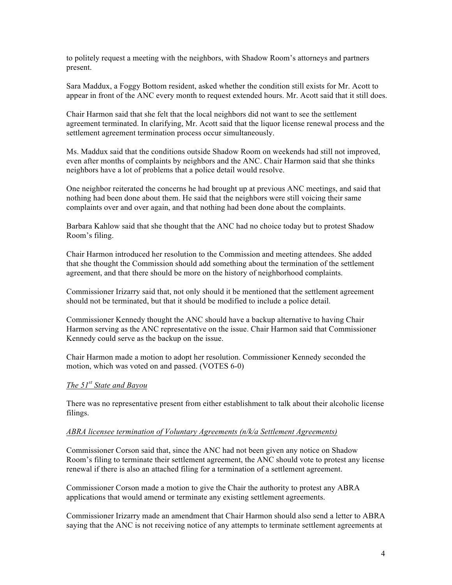to politely request a meeting with the neighbors, with Shadow Room's attorneys and partners present.

Sara Maddux, a Foggy Bottom resident, asked whether the condition still exists for Mr. Acott to appear in front of the ANC every month to request extended hours. Mr. Acott said that it still does.

Chair Harmon said that she felt that the local neighbors did not want to see the settlement agreement terminated. In clarifying, Mr. Acott said that the liquor license renewal process and the settlement agreement termination process occur simultaneously.

Ms. Maddux said that the conditions outside Shadow Room on weekends had still not improved, even after months of complaints by neighbors and the ANC. Chair Harmon said that she thinks neighbors have a lot of problems that a police detail would resolve.

One neighbor reiterated the concerns he had brought up at previous ANC meetings, and said that nothing had been done about them. He said that the neighbors were still voicing their same complaints over and over again, and that nothing had been done about the complaints.

Barbara Kahlow said that she thought that the ANC had no choice today but to protest Shadow Room's filing.

Chair Harmon introduced her resolution to the Commission and meeting attendees. She added that she thought the Commission should add something about the termination of the settlement agreement, and that there should be more on the history of neighborhood complaints.

Commissioner Irizarry said that, not only should it be mentioned that the settlement agreement should not be terminated, but that it should be modified to include a police detail.

Commissioner Kennedy thought the ANC should have a backup alternative to having Chair Harmon serving as the ANC representative on the issue. Chair Harmon said that Commissioner Kennedy could serve as the backup on the issue.

Chair Harmon made a motion to adopt her resolution. Commissioner Kennedy seconded the motion, which was voted on and passed. (VOTES 6-0)

#### *The 51st State and Bayou*

There was no representative present from either establishment to talk about their alcoholic license filings.

#### *ABRA licensee termination of Voluntary Agreements (n/k/a Settlement Agreements)*

Commissioner Corson said that, since the ANC had not been given any notice on Shadow Room's filing to terminate their settlement agreement, the ANC should vote to protest any license renewal if there is also an attached filing for a termination of a settlement agreement.

Commissioner Corson made a motion to give the Chair the authority to protest any ABRA applications that would amend or terminate any existing settlement agreements.

Commissioner Irizarry made an amendment that Chair Harmon should also send a letter to ABRA saying that the ANC is not receiving notice of any attempts to terminate settlement agreements at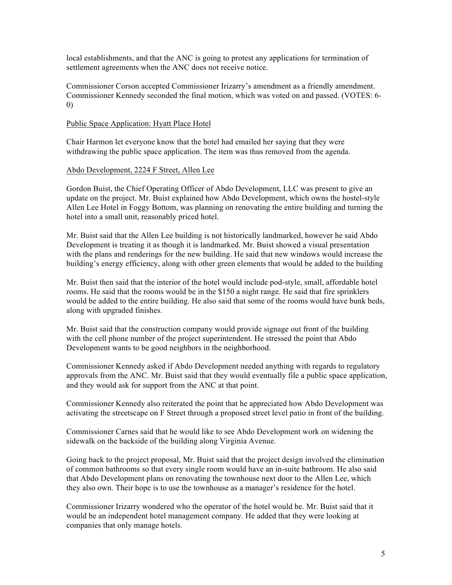local establishments, and that the ANC is going to protest any applications for termination of settlement agreements when the ANC does not receive notice.

Commissioner Corson accepted Commissioner Irizarry's amendment as a friendly amendment. Commissioner Kennedy seconded the final motion, which was voted on and passed. (VOTES: 6- 0)

## Public Space Application: Hyatt Place Hotel

Chair Harmon let everyone know that the hotel had emailed her saying that they were withdrawing the public space application. The item was thus removed from the agenda.

## Abdo Development, 2224 F Street, Allen Lee

Gordon Buist, the Chief Operating Officer of Abdo Development, LLC was present to give an update on the project. Mr. Buist explained how Abdo Development, which owns the hostel-style Allen Lee Hotel in Foggy Bottom, was planning on renovating the entire building and turning the hotel into a small unit, reasonably priced hotel.

Mr. Buist said that the Allen Lee building is not historically landmarked, however he said Abdo Development is treating it as though it is landmarked. Mr. Buist showed a visual presentation with the plans and renderings for the new building. He said that new windows would increase the building's energy efficiency, along with other green elements that would be added to the building

Mr. Buist then said that the interior of the hotel would include pod-style, small, affordable hotel rooms. He said that the rooms would be in the \$150 a night range. He said that fire sprinklers would be added to the entire building. He also said that some of the rooms would have bunk beds, along with upgraded finishes.

Mr. Buist said that the construction company would provide signage out front of the building with the cell phone number of the project superintendent. He stressed the point that Abdo Development wants to be good neighbors in the neighborhood.

Commissioner Kennedy asked if Abdo Development needed anything with regards to regulatory approvals from the ANC. Mr. Buist said that they would eventually file a public space application, and they would ask for support from the ANC at that point.

Commissioner Kennedy also reiterated the point that he appreciated how Abdo Development was activating the streetscape on F Street through a proposed street level patio in front of the building.

Commissioner Carnes said that he would like to see Abdo Development work on widening the sidewalk on the backside of the building along Virginia Avenue.

Going back to the project proposal, Mr. Buist said that the project design involved the elimination of common bathrooms so that every single room would have an in-suite bathroom. He also said that Abdo Development plans on renovating the townhouse next door to the Allen Lee, which they also own. Their hope is to use the townhouse as a manager's residence for the hotel.

Commissioner Irizarry wondered who the operator of the hotel would be. Mr. Buist said that it would be an independent hotel management company. He added that they were looking at companies that only manage hotels.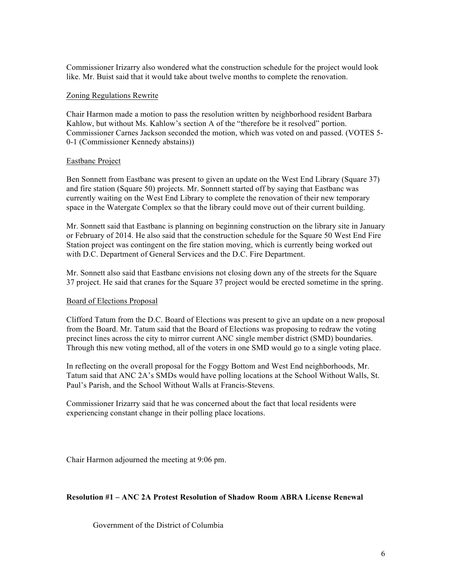Commissioner Irizarry also wondered what the construction schedule for the project would look like. Mr. Buist said that it would take about twelve months to complete the renovation.

## Zoning Regulations Rewrite

Chair Harmon made a motion to pass the resolution written by neighborhood resident Barbara Kahlow, but without Ms. Kahlow's section A of the "therefore be it resolved" portion. Commissioner Carnes Jackson seconded the motion, which was voted on and passed. (VOTES 5- 0-1 (Commissioner Kennedy abstains))

#### Eastbanc Project

Ben Sonnett from Eastbanc was present to given an update on the West End Library (Square 37) and fire station (Square 50) projects. Mr. Sonnnett started off by saying that Eastbanc was currently waiting on the West End Library to complete the renovation of their new temporary space in the Watergate Complex so that the library could move out of their current building.

Mr. Sonnett said that Eastbanc is planning on beginning construction on the library site in January or February of 2014. He also said that the construction schedule for the Square 50 West End Fire Station project was contingent on the fire station moving, which is currently being worked out with D.C. Department of General Services and the D.C. Fire Department.

Mr. Sonnett also said that Eastbanc envisions not closing down any of the streets for the Square 37 project. He said that cranes for the Square 37 project would be erected sometime in the spring.

## Board of Elections Proposal

Clifford Tatum from the D.C. Board of Elections was present to give an update on a new proposal from the Board. Mr. Tatum said that the Board of Elections was proposing to redraw the voting precinct lines across the city to mirror current ANC single member district (SMD) boundaries. Through this new voting method, all of the voters in one SMD would go to a single voting place.

In reflecting on the overall proposal for the Foggy Bottom and West End neighborhoods, Mr. Tatum said that ANC 2A's SMDs would have polling locations at the School Without Walls, St. Paul's Parish, and the School Without Walls at Francis-Stevens.

Commissioner Irizarry said that he was concerned about the fact that local residents were experiencing constant change in their polling place locations.

Chair Harmon adjourned the meeting at 9:06 pm.

## **Resolution #1 – ANC 2A Protest Resolution of Shadow Room ABRA License Renewal**

Government of the District of Columbia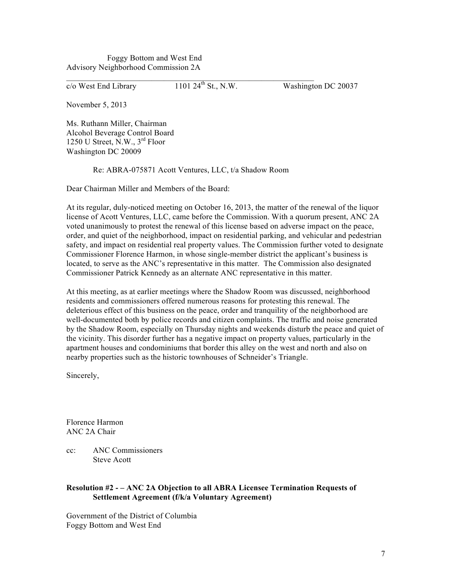Foggy Bottom and West End Advisory Neighborhood Commission 2A

 $\overline{c}/\overline{o}$  West End Library 1101 24<sup>th</sup> St., N.W. Washington DC 20037

November 5, 2013

Ms. Ruthann Miller, Chairman Alcohol Beverage Control Board 1250 U Street, N.W., 3rd Floor Washington DC 20009

Re: ABRA-075871 Acott Ventures, LLC, t/a Shadow Room

 $\mathcal{L}_\text{max} = \mathcal{L}_\text{max} = \mathcal{L}_\text{max} = \mathcal{L}_\text{max} = \mathcal{L}_\text{max} = \mathcal{L}_\text{max} = \mathcal{L}_\text{max} = \mathcal{L}_\text{max} = \mathcal{L}_\text{max} = \mathcal{L}_\text{max} = \mathcal{L}_\text{max} = \mathcal{L}_\text{max} = \mathcal{L}_\text{max} = \mathcal{L}_\text{max} = \mathcal{L}_\text{max} = \mathcal{L}_\text{max} = \mathcal{L}_\text{max} = \mathcal{L}_\text{max} = \mathcal{$ 

Dear Chairman Miller and Members of the Board:

At its regular, duly-noticed meeting on October 16, 2013, the matter of the renewal of the liquor license of Acott Ventures, LLC, came before the Commission. With a quorum present, ANC 2A voted unanimously to protest the renewal of this license based on adverse impact on the peace, order, and quiet of the neighborhood, impact on residential parking, and vehicular and pedestrian safety, and impact on residential real property values. The Commission further voted to designate Commissioner Florence Harmon, in whose single-member district the applicant's business is located, to serve as the ANC's representative in this matter. The Commission also designated Commissioner Patrick Kennedy as an alternate ANC representative in this matter.

At this meeting, as at earlier meetings where the Shadow Room was discussed, neighborhood residents and commissioners offered numerous reasons for protesting this renewal. The deleterious effect of this business on the peace, order and tranquility of the neighborhood are well-documented both by police records and citizen complaints. The traffic and noise generated by the Shadow Room, especially on Thursday nights and weekends disturb the peace and quiet of the vicinity. This disorder further has a negative impact on property values, particularly in the apartment houses and condominiums that border this alley on the west and north and also on nearby properties such as the historic townhouses of Schneider's Triangle.

Sincerely,

Florence Harmon ANC 2A Chair

cc: ANC Commissioners Steve Acott

## **Resolution #2 - – ANC 2A Objection to all ABRA Licensee Termination Requests of Settlement Agreement (f/k/a Voluntary Agreement)**

Government of the District of Columbia Foggy Bottom and West End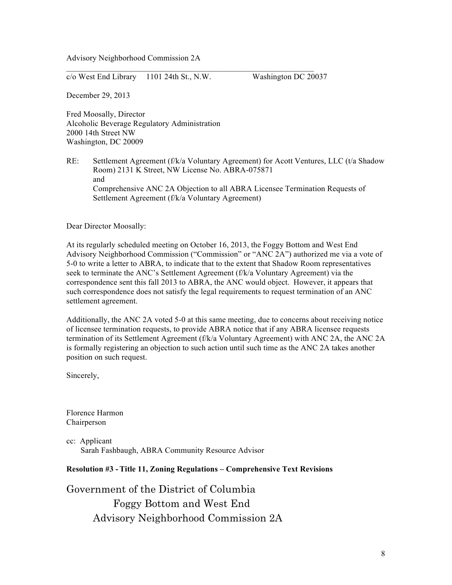Advisory Neighborhood Commission 2A

 $c/\text{o}$  West End Library 1101 24th St., N.W. Washington DC 20037

 $\mathcal{L}_\text{max} = \mathcal{L}_\text{max} = \mathcal{L}_\text{max} = \mathcal{L}_\text{max} = \mathcal{L}_\text{max} = \mathcal{L}_\text{max} = \mathcal{L}_\text{max} = \mathcal{L}_\text{max} = \mathcal{L}_\text{max} = \mathcal{L}_\text{max} = \mathcal{L}_\text{max} = \mathcal{L}_\text{max} = \mathcal{L}_\text{max} = \mathcal{L}_\text{max} = \mathcal{L}_\text{max} = \mathcal{L}_\text{max} = \mathcal{L}_\text{max} = \mathcal{L}_\text{max} = \mathcal{$ 

December 29, 2013

Fred Moosally, Director Alcoholic Beverage Regulatory Administration 2000 14th Street NW Washington, DC 20009

RE: Settlement Agreement (f/k/a Voluntary Agreement) for Acott Ventures, LLC (t/a Shadow Room) 2131 K Street, NW License No. ABRA-075871 and Comprehensive ANC 2A Objection to all ABRA Licensee Termination Requests of Settlement Agreement (f/k/a Voluntary Agreement)

Dear Director Moosally:

At its regularly scheduled meeting on October 16, 2013, the Foggy Bottom and West End Advisory Neighborhood Commission ("Commission" or "ANC 2A") authorized me via a vote of 5-0 to write a letter to ABRA, to indicate that to the extent that Shadow Room representatives seek to terminate the ANC's Settlement Agreement (f/k/a Voluntary Agreement) via the correspondence sent this fall 2013 to ABRA, the ANC would object. However, it appears that such correspondence does not satisfy the legal requirements to request termination of an ANC settlement agreement.

Additionally, the ANC 2A voted 5-0 at this same meeting, due to concerns about receiving notice of licensee termination requests, to provide ABRA notice that if any ABRA licensee requests termination of its Settlement Agreement (f/k/a Voluntary Agreement) with ANC 2A, the ANC 2A is formally registering an objection to such action until such time as the ANC 2A takes another position on such request.

Sincerely,

Florence Harmon Chairperson

cc: Applicant Sarah Fashbaugh, ABRA Community Resource Advisor

## **Resolution #3 -Title 11, Zoning Regulations – Comprehensive Text Revisions**

Government of the District of Columbia Foggy Bottom and West End Advisory Neighborhood Commission 2A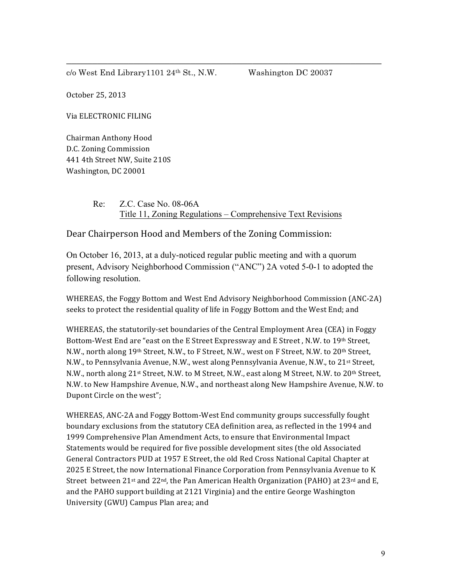$c/\text{o West End Library1101 } 24^{\text{th}}$  St., N.W. Washington DC 20037

October 25, 2013

Via ELECTRONIC FILING

Chairman Anthony Hood D.C. Zoning Commission 441 4th Street NW, Suite 210S Washington, DC 20001

> Re: Z.C. Case No. 08-06A Title 11, Zoning Regulations – Comprehensive Text Revisions

\_\_\_\_\_\_\_\_\_\_\_\_\_\_\_\_\_\_\_\_\_\_\_\_\_\_\_\_\_\_\_\_\_\_\_\_\_\_\_\_\_\_\_\_\_\_\_\_\_\_\_\_\_\_\_\_\_\_\_\_\_

Dear Chairperson Hood and Members of the Zoning Commission:

On October 16, 2013, at a duly-noticed regular public meeting and with a quorum present, Advisory Neighborhood Commission ("ANC") 2A voted 5-0-1 to adopted the following resolution.

WHEREAS, the Foggy Bottom and West End Advisory Neighborhood Commission (ANC-2A) seeks to protect the residential quality of life in Foggy Bottom and the West End; and

WHEREAS, the statutorily-set boundaries of the Central Employment Area (CEA) in Foggy Bottom-West End are "east on the E Street Expressway and E Street, N.W. to 19th Street, N.W., north along 19<sup>th</sup> Street, N.W., to F Street, N.W., west on F Street, N.W. to 20<sup>th</sup> Street, N.W., to Pennsylvania Avenue, N.W., west along Pennsylvania Avenue, N.W., to 21<sup>st</sup> Street, N.W., north along 21st Street, N.W. to M Street, N.W., east along M Street, N.W. to 20th Street, N.W. to New Hampshire Avenue, N.W., and northeast along New Hampshire Avenue, N.W. to Dupont Circle on the west":

WHEREAS, ANC-2A and Foggy Bottom-West End community groups successfully fought boundary exclusions from the statutory CEA definition area, as reflected in the 1994 and 1999 Comprehensive Plan Amendment Acts, to ensure that Environmental Impact Statements would be required for five possible development sites (the old Associated General Contractors PUD at 1957 E Street, the old Red Cross National Capital Chapter at 2025 E Street, the now International Finance Corporation from Pennsylvania Avenue to K Street between  $21^{st}$  and  $22^{nd}$ , the Pan American Health Organization (PAHO) at  $23^{rd}$  and E, and the PAHO support building at 2121 Virginia) and the entire George Washington University (GWU) Campus Plan area; and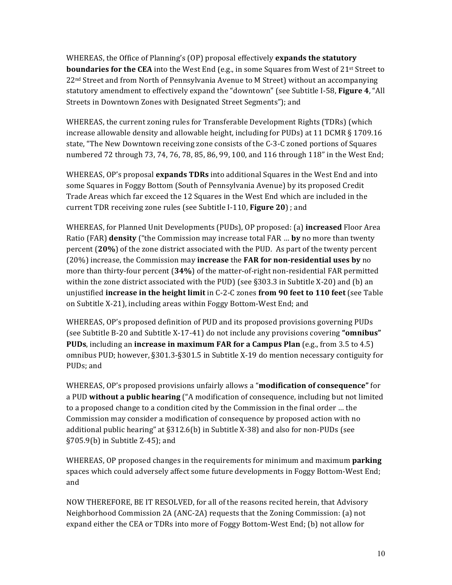WHEREAS, the Office of Planning's (OP) proposal effectively **expands the statutory boundaries for the CEA** into the West End (e.g., in some Squares from West of 21<sup>st</sup> Street to  $22<sup>nd</sup> Street and from North of Pennsylvania Avenue to M Street) without an accompanying$ statutory amendment to effectively expand the "downtown" (see Subtitle I-58, **Figure 4**, "All Streets in Downtown Zones with Designated Street Segments"); and

WHEREAS, the current zoning rules for Transferable Development Rights (TDRs) (which increase allowable density and allowable height, including for PUDs) at 11 DCMR  $\S$  1709.16 state, "The New Downtown receiving zone consists of the C-3-C zoned portions of Squares numbered 72 through 73, 74, 76, 78, 85, 86, 99, 100, and 116 through 118" in the West End;

WHEREAS, OP's proposal **expands TDRs** into additional Squares in the West End and into some Squares in Foggy Bottom (South of Pennsylvania Avenue) by its proposed Credit Trade Areas which far exceed the 12 Squares in the West End which are included in the current TDR receiving zone rules (see Subtitle I-110, Figure 20) ; and

WHEREAS, for Planned Unit Developments (PUDs), OP proposed: (a) *increased Floor Area* **Ratio** (FAR) **density** ("the Commission may increase total FAR ... **by** no more than twenty percent (20%) of the zone district associated with the PUD. As part of the twenty percent (20%) increase, the Commission may **increase** the **FAR** for non-residential uses by no more than thirty-four percent (34%) of the matter-of-right non-residential FAR permitted within the zone district associated with the PUD) (see  $\S 303.3$  in Subtitle X-20) and (b) an unjustified **increase in the height limit** in C-2-C zones **from 90 feet to 110 feet** (see Table on Subtitle X-21), including areas within Foggy Bottom-West End; and

WHEREAS, OP's proposed definition of PUD and its proposed provisions governing PUDs (see Subtitle B-20 and Subtitle X-17-41) do not include any provisions covering "**omnibus" PUDs**, including an **increase in maximum FAR for a Campus Plan** (e.g., from 3.5 to 4.5) omnibus PUD; however, §301.3-§301.5 in Subtitle X-19 do mention necessary contiguity for PUD<sub>s</sub>; and

WHEREAS, OP's proposed provisions unfairly allows a "**modification of consequence"** for a PUD without a public hearing ("A modification of consequence, including but not limited to a proposed change to a condition cited by the Commission in the final order ... the Commission may consider a modification of consequence by proposed action with no additional public hearing" at  $\S 312.6(b)$  in Subtitle X-38) and also for non-PUDs (see  $\S 705.9(b)$  in Subtitle Z-45); and

WHEREAS, OP proposed changes in the requirements for minimum and maximum **parking** spaces which could adversely affect some future developments in Foggy Bottom-West End; and 

NOW THEREFORE, BE IT RESOLVED, for all of the reasons recited herein, that Advisory Neighborhood Commission  $2A$  (ANC-2A) requests that the Zoning Commission: (a) not expand either the CEA or TDRs into more of Foggy Bottom-West End; (b) not allow for